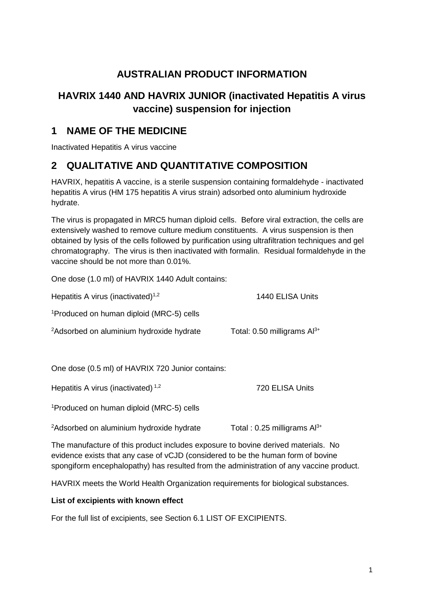# **AUSTRALIAN PRODUCT INFORMATION**

# **HAVRIX 1440 AND HAVRIX JUNIOR (inactivated Hepatitis A virus vaccine) suspension for injection**

# **1 NAME OF THE MEDICINE**

Inactivated Hepatitis A virus vaccine

# **2 QUALITATIVE AND QUANTITATIVE COMPOSITION**

HAVRIX, hepatitis A vaccine, is a sterile suspension containing formaldehyde - inactivated hepatitis A virus (HM 175 hepatitis A virus strain) adsorbed onto aluminium hydroxide hydrate.

The virus is propagated in MRC5 human diploid cells. Before viral extraction, the cells are extensively washed to remove culture medium constituents. A virus suspension is then obtained by lysis of the cells followed by purification using ultrafiltration techniques and gel chromatography. The virus is then inactivated with formalin. Residual formaldehyde in the vaccine should be not more than 0.01%.

One dose (1.0 ml) of HAVRIX 1440 Adult contains:

| Hepatitis A virus (inactivated) <sup>1,2</sup>       | 1440 ELISA Units                   |
|------------------------------------------------------|------------------------------------|
| <sup>1</sup> Produced on human diploid (MRC-5) cells |                                    |
| <sup>2</sup> Adsorbed on aluminium hydroxide hydrate | Total: $0.50$ milligrams $Al^{3+}$ |
| One dose (0.5 ml) of HAVRIX 720 Junior contains:     |                                    |

Hepatitis A virus (inactivated)<sup>1,2</sup> 720 ELISA Units

1 Produced on human diploid (MRC-5) cells

 $2A$ dsorbed on aluminium hydroxide hydrate  $13+2A$  Total : 0.25 milligrams Al<sup>3+</sup>

The manufacture of this product includes exposure to bovine derived materials. No evidence exists that any case of vCJD (considered to be the human form of bovine spongiform encephalopathy) has resulted from the administration of any vaccine product.

HAVRIX meets the World Health Organization requirements for biological substances.

### **List of excipients with known effect**

For the full list of excipients, see Section 6.1 LIST OF EXCIPIENTS.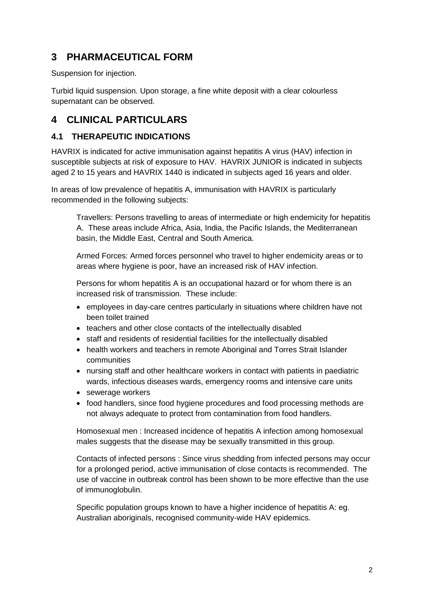# **3 PHARMACEUTICAL FORM**

Suspension for injection.

Turbid liquid suspension. Upon storage, a fine white deposit with a clear colourless supernatant can be observed.

# **4 CLINICAL PARTICULARS**

# **4.1 THERAPEUTIC INDICATIONS**

HAVRIX is indicated for active immunisation against hepatitis A virus (HAV) infection in susceptible subjects at risk of exposure to HAV. HAVRIX JUNIOR is indicated in subjects aged 2 to 15 years and HAVRIX 1440 is indicated in subjects aged 16 years and older.

In areas of low prevalence of hepatitis A, immunisation with HAVRIX is particularly recommended in the following subjects:

Travellers: Persons travelling to areas of intermediate or high endemicity for hepatitis A. These areas include Africa, Asia, India, the Pacific Islands, the Mediterranean basin, the Middle East, Central and South America.

Armed Forces: Armed forces personnel who travel to higher endemicity areas or to areas where hygiene is poor, have an increased risk of HAV infection.

Persons for whom hepatitis A is an occupational hazard or for whom there is an increased risk of transmission. These include:

- employees in day-care centres particularly in situations where children have not been toilet trained
- teachers and other close contacts of the intellectually disabled
- staff and residents of residential facilities for the intellectually disabled
- health workers and teachers in remote Aboriginal and Torres Strait Islander communities
- nursing staff and other healthcare workers in contact with patients in paediatric wards, infectious diseases wards, emergency rooms and intensive care units
- sewerage workers
- food handlers, since food hygiene procedures and food processing methods are not always adequate to protect from contamination from food handlers.

Homosexual men : Increased incidence of hepatitis A infection among homosexual males suggests that the disease may be sexually transmitted in this group.

Contacts of infected persons : Since virus shedding from infected persons may occur for a prolonged period, active immunisation of close contacts is recommended. The use of vaccine in outbreak control has been shown to be more effective than the use of immunoglobulin.

Specific population groups known to have a higher incidence of hepatitis A: eg. Australian aboriginals, recognised community-wide HAV epidemics.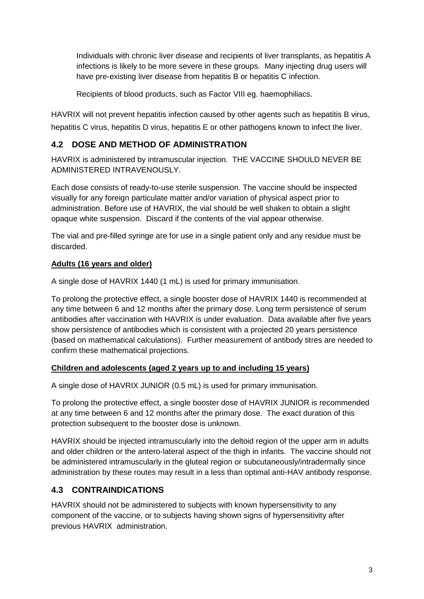Individuals with chronic liver disease and recipients of liver transplants, as hepatitis A infections is likely to be more severe in these groups. Many injecting drug users will have pre-existing liver disease from hepatitis B or hepatitis C infection.

Recipients of blood products, such as Factor VIII eg. haemophiliacs.

HAVRIX will not prevent hepatitis infection caused by other agents such as hepatitis B virus, hepatitis C virus, hepatitis D virus, hepatitis E or other pathogens known to infect the liver.

# **4.2 DOSE AND METHOD OF ADMINISTRATION**

HAVRIX is administered by intramuscular injection. THE VACCINE SHOULD NEVER BE ADMINISTERED INTRAVENOUSLY.

Each dose consists of ready-to-use sterile suspension. The vaccine should be inspected visually for any foreign particulate matter and/or variation of physical aspect prior to administration. Before use of HAVRIX, the vial should be well shaken to obtain a slight opaque white suspension. Discard if the contents of the vial appear otherwise.

The vial and pre-filled syringe are for use in a single patient only and any residue must be discarded.

# **Adults (16 years and older)**

A single dose of HAVRIX 1440 (1 mL) is used for primary immunisation.

To prolong the protective effect, a single booster dose of HAVRIX 1440 is recommended at any time between 6 and 12 months after the primary dose. Long term persistence of serum antibodies after vaccination with HAVRIX is under evaluation. Data available after five years show persistence of antibodies which is consistent with a projected 20 years persistence (based on mathematical calculations). Further measurement of antibody titres are needed to confirm these mathematical projections.

### **Children and adolescents (aged 2 years up to and including 15 years)**

A single dose of HAVRIX JUNIOR (0.5 mL) is used for primary immunisation.

To prolong the protective effect, a single booster dose of HAVRIX JUNIOR is recommended at any time between 6 and 12 months after the primary dose. The exact duration of this protection subsequent to the booster dose is unknown.

HAVRIX should be injected intramuscularly into the deltoid region of the upper arm in adults and older children or the antero-lateral aspect of the thigh in infants. The vaccine should not be administered intramuscularly in the gluteal region or subcutaneously/intradermally since administration by these routes may result in a less than optimal anti-HAV antibody response.

# **4.3 CONTRAINDICATIONS**

HAVRIX should not be administered to subjects with known hypersensitivity to any component of the vaccine, or to subjects having shown signs of hypersensitivity after previous HAVRIX administration.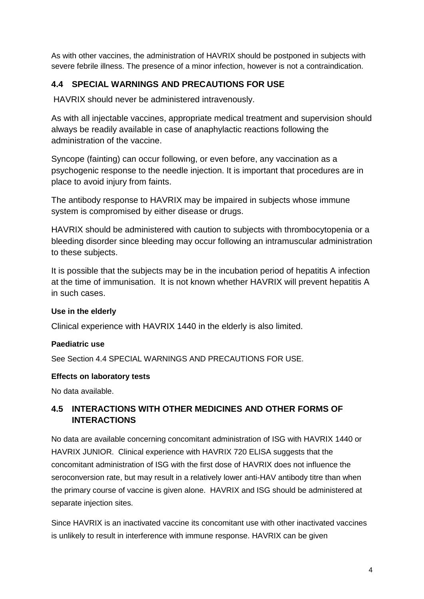As with other vaccines, the administration of HAVRIX should be postponed in subjects with severe febrile illness. The presence of a minor infection, however is not a contraindication.

# **4.4 SPECIAL WARNINGS AND PRECAUTIONS FOR USE**

HAVRIX should never be administered intravenously.

As with all injectable vaccines, appropriate medical treatment and supervision should always be readily available in case of anaphylactic reactions following the administration of the vaccine.

Syncope (fainting) can occur following, or even before, any vaccination as a psychogenic response to the needle injection. It is important that procedures are in place to avoid injury from faints.

The antibody response to HAVRIX may be impaired in subjects whose immune system is compromised by either disease or drugs.

HAVRIX should be administered with caution to subjects with thrombocytopenia or a bleeding disorder since bleeding may occur following an intramuscular administration to these subjects.

It is possible that the subjects may be in the incubation period of hepatitis A infection at the time of immunisation. It is not known whether HAVRIX will prevent hepatitis A in such cases.

# **Use in the elderly**

Clinical experience with HAVRIX 1440 in the elderly is also limited.

# **Paediatric use**

See Section 4.4 SPECIAL WARNINGS AND PRECAUTIONS FOR USE.

### **Effects on laboratory tests**

No data available.

# **4.5 INTERACTIONS WITH OTHER MEDICINES AND OTHER FORMS OF INTERACTIONS**

No data are available concerning concomitant administration of ISG with HAVRIX 1440 or HAVRIX JUNIOR. Clinical experience with HAVRIX 720 ELISA suggests that the concomitant administration of ISG with the first dose of HAVRIX does not influence the seroconversion rate, but may result in a relatively lower anti-HAV antibody titre than when the primary course of vaccine is given alone. HAVRIX and ISG should be administered at separate injection sites.

Since HAVRIX is an inactivated vaccine its concomitant use with other inactivated vaccines is unlikely to result in interference with immune response. HAVRIX can be given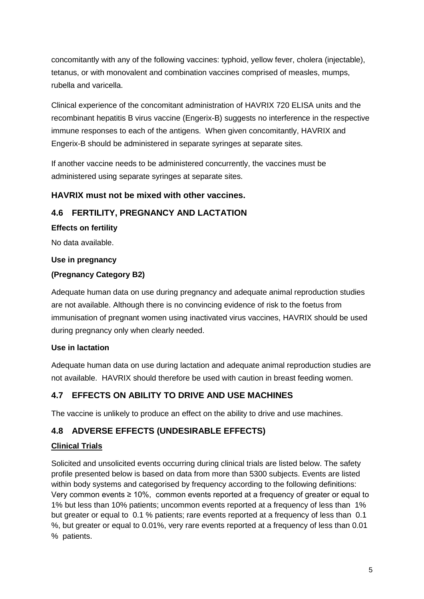concomitantly with any of the following vaccines: typhoid, yellow fever, cholera (injectable), tetanus, or with monovalent and combination vaccines comprised of measles, mumps, rubella and varicella.

Clinical experience of the concomitant administration of HAVRIX 720 ELISA units and the recombinant hepatitis B virus vaccine (Engerix-B) suggests no interference in the respective immune responses to each of the antigens. When given concomitantly, HAVRIX and Engerix-B should be administered in separate syringes at separate sites.

If another vaccine needs to be administered concurrently, the vaccines must be administered using separate syringes at separate sites.

# **HAVRIX must not be mixed with other vaccines.**

# **4.6 FERTILITY, PREGNANCY AND LACTATION**

**Effects on fertility**

No data available.

### **Use in pregnancy**

### **(Pregnancy Category B2)**

Adequate human data on use during pregnancy and adequate animal reproduction studies are not available. Although there is no convincing evidence of risk to the foetus from immunisation of pregnant women using inactivated virus vaccines, HAVRIX should be used during pregnancy only when clearly needed.

# **Use in lactation**

Adequate human data on use during lactation and adequate animal reproduction studies are not available.HAVRIX should therefore be used with caution in breast feeding women.

# **4.7 EFFECTS ON ABILITY TO DRIVE AND USE MACHINES**

The vaccine is unlikely to produce an effect on the ability to drive and use machines.

# **4.8 ADVERSE EFFECTS (UNDESIRABLE EFFECTS)**

# **Clinical Trials**

Solicited and unsolicited events occurring during clinical trials are listed below. The safety profile presented below is based on data from more than 5300 subjects. Events are listed within body systems and categorised by frequency according to the following definitions: Very common events ≥ 10%, common events reported at a frequency of greater or equal to 1% but less than 10% patients; uncommon events reported at a frequency of less than 1% but greater or equal to 0.1 % patients; rare events reported at a frequency of less than 0.1 %, but greater or equal to 0.01%, very rare events reported at a frequency of less than 0.01 % patients.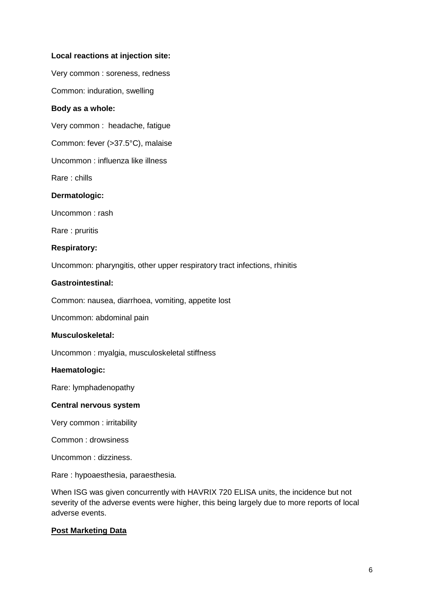#### **Local reactions at injection site:**

Very common : soreness, redness

Common: induration, swelling

#### **Body as a whole:**

Very common : headache, fatigue

Common: fever (>37.5°C), malaise

Uncommon : influenza like illness

Rare : chills

#### **Dermatologic:**

Uncommon : rash

Rare : pruritis

#### **Respiratory:**

Uncommon: pharyngitis, other upper respiratory tract infections, rhinitis

#### **Gastrointestinal:**

Common: nausea, diarrhoea, vomiting, appetite lost

Uncommon: abdominal pain

#### **Musculoskeletal:**

Uncommon : myalgia, musculoskeletal stiffness

#### **Haematologic:**

Rare: lymphadenopathy

#### **Central nervous system**

Very common : irritability

Common : drowsiness

Uncommon : dizziness.

Rare : hypoaesthesia, paraesthesia.

When ISG was given concurrently with HAVRIX 720 ELISA units, the incidence but not severity of the adverse events were higher, this being largely due to more reports of local adverse events.

#### **Post Marketing Data**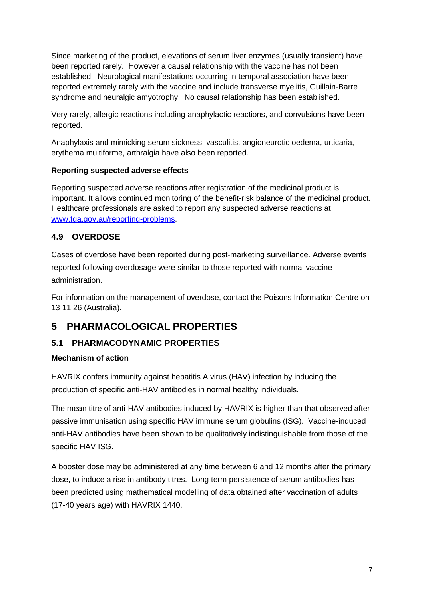Since marketing of the product, elevations of serum liver enzymes (usually transient) have been reported rarely. However a causal relationship with the vaccine has not been established. Neurological manifestations occurring in temporal association have been reported extremely rarely with the vaccine and include transverse myelitis, Guillain-Barre syndrome and neuralgic amyotrophy. No causal relationship has been established.

Very rarely, allergic reactions including anaphylactic reactions, and convulsions have been reported.

Anaphylaxis and mimicking serum sickness, vasculitis, angioneurotic oedema, urticaria, erythema multiforme, arthralgia have also been reported.

### **Reporting suspected adverse effects**

Reporting suspected adverse reactions after registration of the medicinal product is important. It allows continued monitoring of the benefit-risk balance of the medicinal product. Healthcare professionals are asked to report any suspected adverse reactions at [www.tga.gov.au/reporting-problems.](http://www.tga.gov.au/reporting-problems)

# **4.9 OVERDOSE**

Cases of overdose have been reported during post-marketing surveillance. Adverse events reported following overdosage were similar to those reported with normal vaccine administration.

For information on the management of overdose, contact the Poisons Information Centre on 13 11 26 (Australia).

# **5 PHARMACOLOGICAL PROPERTIES**

# **5.1 PHARMACODYNAMIC PROPERTIES**

# **Mechanism of action**

HAVRIX confers immunity against hepatitis A virus (HAV) infection by inducing the production of specific anti-HAV antibodies in normal healthy individuals.

The mean titre of anti-HAV antibodies induced by HAVRIX is higher than that observed after passive immunisation using specific HAV immune serum globulins (ISG). Vaccine-induced anti-HAV antibodies have been shown to be qualitatively indistinguishable from those of the specific HAV ISG.

A booster dose may be administered at any time between 6 and 12 months after the primary dose, to induce a rise in antibody titres. Long term persistence of serum antibodies has been predicted using mathematical modelling of data obtained after vaccination of adults (17-40 years age) with HAVRIX 1440.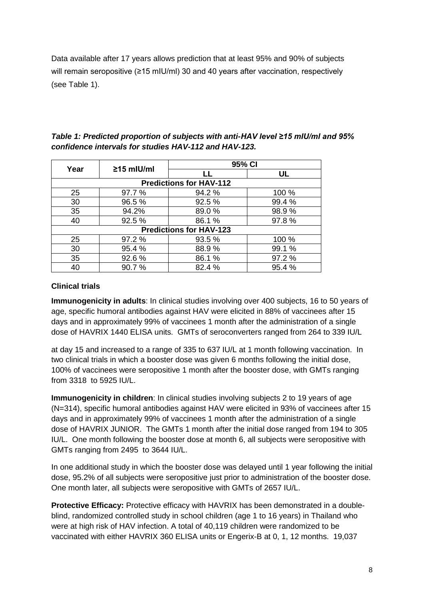Data available after 17 years allows prediction that at least 95% and 90% of subjects will remain seropositive (≥15 mIU/ml) 30 and 40 years after vaccination, respectively (see Table 1).

|                                |                  | 95% CI |           |  |
|--------------------------------|------------------|--------|-----------|--|
| Year                           | $\geq$ 15 mlU/ml |        | <b>UL</b> |  |
| <b>Predictions for HAV-112</b> |                  |        |           |  |
| 25                             | 97.7 %           | 94.2 % | 100 %     |  |
| 30                             | 96.5%            | 92.5%  | 99.4%     |  |
| 35                             | 94.2%            | 89.0%  | 98.9%     |  |
| 40                             | 92.5 %           | 86.1 % | 97.8%     |  |
| <b>Predictions for HAV-123</b> |                  |        |           |  |
| 25                             | 97.2 %           | 93.5 % | 100 %     |  |
| 30                             | 95.4 %           | 88.9%  | 99.1 %    |  |
| 35                             | 92.6%            | 86.1 % | 97.2%     |  |
| 40                             | 90.7%            | 82.4%  | 95.4%     |  |

*Table 1: Predicted proportion of subjects with anti-HAV level ≥15 mIU/ml and 95% confidence intervals for studies HAV-112 and HAV-123.*

# **Clinical trials**

**Immunogenicity in adults**: In clinical studies involving over 400 subjects, 16 to 50 years of age, specific humoral antibodies against HAV were elicited in 88% of vaccinees after 15 days and in approximately 99% of vaccinees 1 month after the administration of a single dose of HAVRIX 1440 ELISA units. GMTs of seroconverters ranged from 264 to 339 IU/L

at day 15 and increased to a range of 335 to 637 IU/L at 1 month following vaccination. In two clinical trials in which a booster dose was given 6 months following the initial dose, 100% of vaccinees were seropositive 1 month after the booster dose, with GMTs ranging from 3318 to 5925 IU/L.

**Immunogenicity in children**: In clinical studies involving subjects 2 to 19 years of age (N=314), specific humoral antibodies against HAV were elicited in 93% of vaccinees after 15 days and in approximately 99% of vaccinees 1 month after the administration of a single dose of HAVRIX JUNIOR. The GMTs 1 month after the initial dose ranged from 194 to 305 IU/L. One month following the booster dose at month 6, all subjects were seropositive with GMTs ranging from 2495 to 3644 IU/L.

In one additional study in which the booster dose was delayed until 1 year following the initial dose, 95.2% of all subjects were seropositive just prior to administration of the booster dose. One month later, all subjects were seropositive with GMTs of 2657 IU/L.

**Protective Efficacy:** Protective efficacy with HAVRIX has been demonstrated in a doubleblind, randomized controlled study in school children (age 1 to 16 years) in Thailand who were at high risk of HAV infection. A total of 40,119 children were randomized to be vaccinated with either HAVRIX 360 ELISA units or Engerix-B at 0, 1, 12 months. 19,037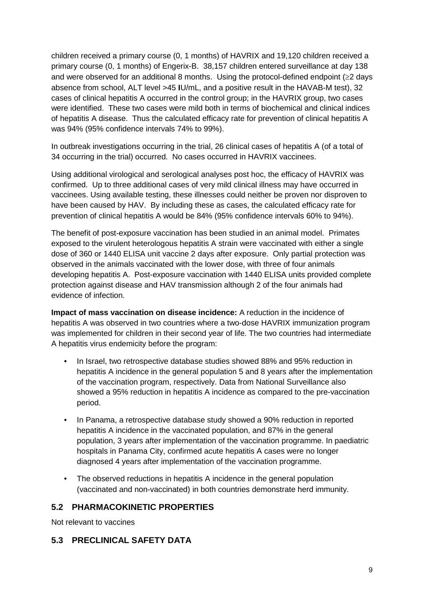children received a primary course (0, 1 months) of HAVRIX and 19,120 children received a primary course (0, 1 months) of Engerix-B. 38,157 children entered surveillance at day 138 and were observed for an additional 8 months. Using the protocol-defined endpoint (≥2 days absence from school, ALT level >45 **I**U/mL, and a positive result in the HAVAB-M test), 32 cases of clinical hepatitis A occurred in the control group; in the HAVRIX group, two cases were identified. These two cases were mild both in terms of biochemical and clinical indices of hepatitis A disease. Thus the calculated efficacy rate for prevention of clinical hepatitis A was 94% (95% confidence intervals 74% to 99%).

In outbreak investigations occurring in the trial, 26 clinical cases of hepatitis A (of a total of 34 occurring in the trial) occurred. No cases occurred in HAVRIX vaccinees.

Using additional virological and serological analyses post hoc, the efficacy of HAVRIX was confirmed. Up to three additional cases of very mild clinical illness may have occurred in vaccinees. Using available testing, these illnesses could neither be proven nor disproven to have been caused by HAV. By including these as cases, the calculated efficacy rate for prevention of clinical hepatitis A would be 84% (95% confidence intervals 60% to 94%).

The benefit of post-exposure vaccination has been studied in an animal model. Primates exposed to the virulent heterologous hepatitis A strain were vaccinated with either a single dose of 360 or 1440 ELISA unit vaccine 2 days after exposure. Only partial protection was observed in the animals vaccinated with the lower dose, with three of four animals developing hepatitis A. Post-exposure vaccination with 1440 ELISA units provided complete protection against disease and HAV transmission although 2 of the four animals had evidence of infection.

**Impact of mass vaccination on disease incidence:** A reduction in the incidence of hepatitis A was observed in two countries where a two-dose HAVRIX immunization program was implemented for children in their second year of life. The two countries had intermediate A hepatitis virus endemicity before the program:

- In Israel, two retrospective database studies showed 88% and 95% reduction in hepatitis A incidence in the general population 5 and 8 years after the implementation of the vaccination program, respectively. Data from National Surveillance also showed a 95% reduction in hepatitis A incidence as compared to the pre-vaccination period.
- In Panama, a retrospective database study showed a 90% reduction in reported hepatitis A incidence in the vaccinated population, and 87% in the general population, 3 years after implementation of the vaccination programme. In paediatric hospitals in Panama City, confirmed acute hepatitis A cases were no longer diagnosed 4 years after implementation of the vaccination programme.
- The observed reductions in hepatitis A incidence in the general population (vaccinated and non-vaccinated) in both countries demonstrate herd immunity.

# **5.2 PHARMACOKINETIC PROPERTIES**

Not relevant to vaccines

### **5.3 PRECLINICAL SAFETY DATA**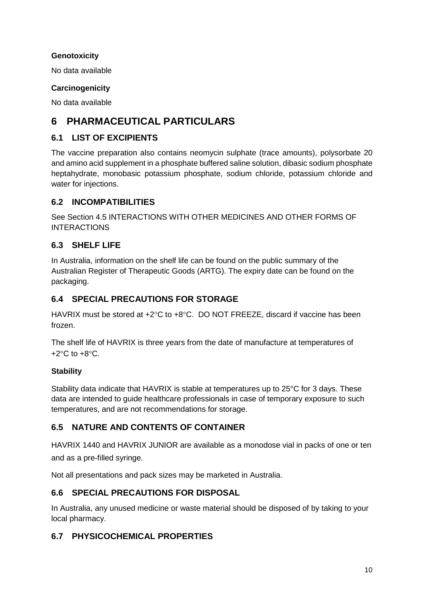### **Genotoxicity**

No data available

### **Carcinogenicity**

No data available

# **6 PHARMACEUTICAL PARTICULARS**

# **6.1 LIST OF EXCIPIENTS**

The vaccine preparation also contains neomycin sulphate (trace amounts), polysorbate 20 and amino acid supplement in a phosphate buffered saline solution, dibasic sodium phosphate heptahydrate, monobasic potassium phosphate, sodium chloride, potassium chloride and water for injections.

# **6.2 INCOMPATIBILITIES**

See Section 4.5 INTERACTIONS WITH OTHER MEDICINES AND OTHER FORMS OF INTERACTIONS

# **6.3 SHELF LIFE**

In Australia, information on the shelf life can be found on the public summary of the Australian Register of Therapeutic Goods (ARTG). The expiry date can be found on the packaging.

# **6.4 SPECIAL PRECAUTIONS FOR STORAGE**

HAVRIX must be stored at +2°C to +8°C. DO NOT FREEZE, discard if vaccine has been frozen.

The shelf life of HAVRIX is three years from the date of manufacture at temperatures of  $+2$ °C to  $+8$ °C.

### **Stability**

Stability data indicate that HAVRIX is stable at temperatures up to 25°C for 3 days. These data are intended to guide healthcare professionals in case of temporary exposure to such temperatures, and are not recommendations for storage.

# **6.5 NATURE AND CONTENTS OF CONTAINER**

HAVRIX 1440 and HAVRIX JUNIOR are available as a monodose vial in packs of one or ten and as a pre-filled syringe.

Not all presentations and pack sizes may be marketed in Australia.

# **6.6 SPECIAL PRECAUTIONS FOR DISPOSAL**

In Australia, any unused medicine or waste material should be disposed of by taking to your local pharmacy.

# **6.7 PHYSICOCHEMICAL PROPERTIES**